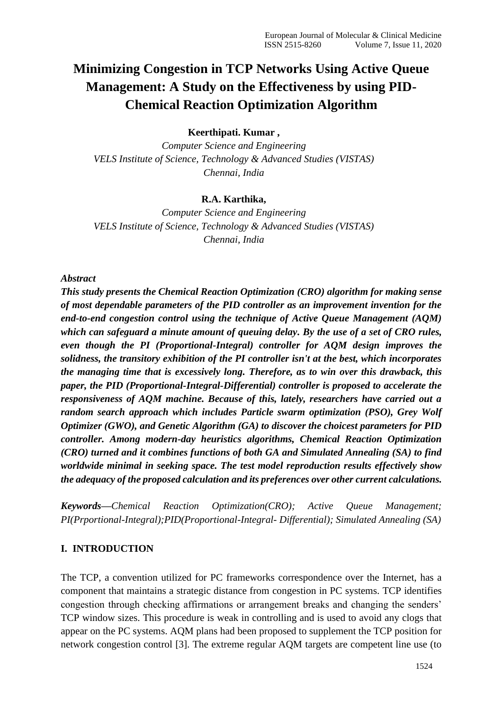# **Minimizing Congestion in TCP Networks Using Active Queue Management: A Study on the Effectiveness by using PID-Chemical Reaction Optimization Algorithm**

### **Keerthipati. Kumar ,**

*Computer Science and Engineering VELS Institute of Science, Technology & Advanced Studies (VISTAS) Chennai, India*

#### **R.A. Karthika,**

*Computer Science and Engineering VELS Institute of Science, Technology & Advanced Studies (VISTAS) Chennai, India*

#### *Abstract*

*This study presents the Chemical Reaction Optimization (CRO) algorithm for making sense of most dependable parameters of the PID controller as an improvement invention for the end-to-end congestion control using the technique of Active Queue Management (AQM) which can safeguard a minute amount of queuing delay. By the use of a set of CRO rules, even though the PI (Proportional-Integral) controller for AQM design improves the solidness, the transitory exhibition of the PI controller isn't at the best, which incorporates the managing time that is excessively long. Therefore, as to win over this drawback, this paper, the PID (Proportional-Integral-Differential) controller is proposed to accelerate the responsiveness of AQM machine. Because of this, lately, researchers have carried out a random search approach which includes Particle swarm optimization (PSO), Grey Wolf Optimizer (GWO), and Genetic Algorithm (GA) to discover the choicest parameters for PID controller. Among modern-day heuristics algorithms, Chemical Reaction Optimization (CRO) turned and it combines functions of both GA and Simulated Annealing (SA) to find worldwide minimal in seeking space. The test model reproduction results effectively show the adequacy of the proposed calculation and its preferences over other current calculations.*

*Keywords—Chemical Reaction Optimization(CRO); Active Queue Management; PI(Prportional-Integral);PID(Proportional-Integral- Differential); Simulated Annealing (SA)*

#### **I. INTRODUCTION**

The TCP, a convention utilized for PC frameworks correspondence over the Internet, has a component that maintains a strategic distance from congestion in PC systems. TCP identifies congestion through checking affirmations or arrangement breaks and changing the senders' TCP window sizes. This procedure is weak in controlling and is used to avoid any clogs that appear on the PC systems. AQM plans had been proposed to supplement the TCP position for network congestion control [3]. The extreme regular AQM targets are competent line use (to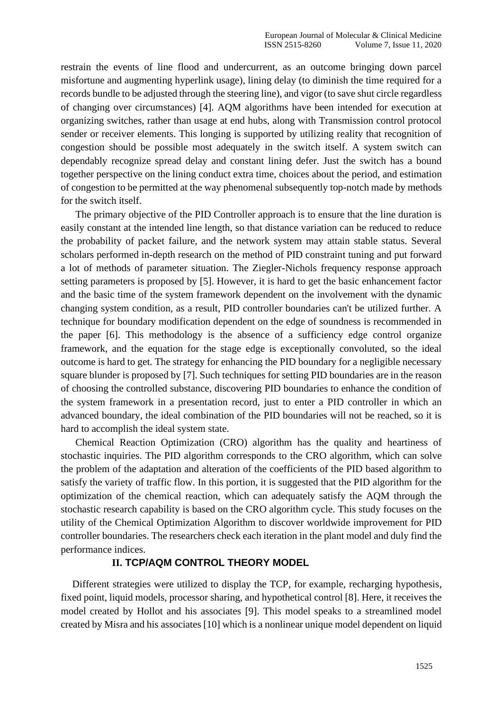restrain the events of line flood and undercurrent, as an outcome bringing down parcel misfortune and augmenting hyperlink usage), lining delay (to diminish the time required for a records bundle to be adjusted through the steering line), and vigor (to save shut circle regardless of changing over circumstances) [4]. AQM algorithms have been intended for execution at organizing switches, rather than usage at end hubs, along with Transmission control protocol sender or receiver elements. This longing is supported by utilizing reality that recognition of congestion should be possible most adequately in the switch itself. A system switch can dependably recognize spread delay and constant lining defer. Just the switch has a bound together perspective on the lining conduct extra time, choices about the period, and estimation of congestion to be permitted at the way phenomenal subsequently top-notch made by methods for the switch itself.

The primary objective of the PID Controller approach is to ensure that the line duration is easily constant at the intended line length, so that distance variation can be reduced to reduce the probability of packet failure, and the network system may attain stable status. Several scholars performed in-depth research on the method of PID constraint tuning and put forward a lot of methods of parameter situation. The Ziegler-Nichols frequency response approach setting parameters is proposed by [5]. However, it is hard to get the basic enhancement factor and the basic time of the system framework dependent on the involvement with the dynamic changing system condition, as a result, PID controller boundaries can't be utilized further. A technique for boundary modification dependent on the edge of soundness is recommended in the paper [6]. This methodology is the absence of a sufficiency edge control organize framework, and the equation for the stage edge is exceptionally convoluted, so the ideal outcome is hard to get. The strategy for enhancing the PID boundary for a negligible necessary square blunder is proposed by [7]. Such techniques for setting PID boundaries are in the reason of choosing the controlled substance, discovering PID boundaries to enhance the condition of the system framework in a presentation record, just to enter a PID controller in which an advanced boundary, the ideal combination of the PID boundaries will not be reached, so it is hard to accomplish the ideal system state.

Chemical Reaction Optimization (CRO) algorithm has the quality and heartiness of stochastic inquiries. The PID algorithm corresponds to the CRO algorithm, which can solve the problem of the adaptation and alteration of the coefficients of the PID based algorithm to satisfy the variety of traffic flow. In this portion, it is suggested that the PID algorithm for the optimization of the chemical reaction, which can adequately satisfy the AQM through the stochastic research capability is based on the CRO algorithm cycle. This study focuses on the utility of the Chemical Optimization Algorithm to discover worldwide improvement for PID controller boundaries. The researchers check each iteration in the plant model and duly find the performance indices.

# **II. TCP/AQM CONTROL THEORY MODEL**

Different strategies were utilized to display the TCP, for example, recharging hypothesis, fixed point, liquid models, processor sharing, and hypothetical control [8]. Here, it receives the model created by Hollot and his associates [9]. This model speaks to a streamlined model created by Misra and his associates [10] which is a nonlinear unique model dependent on liquid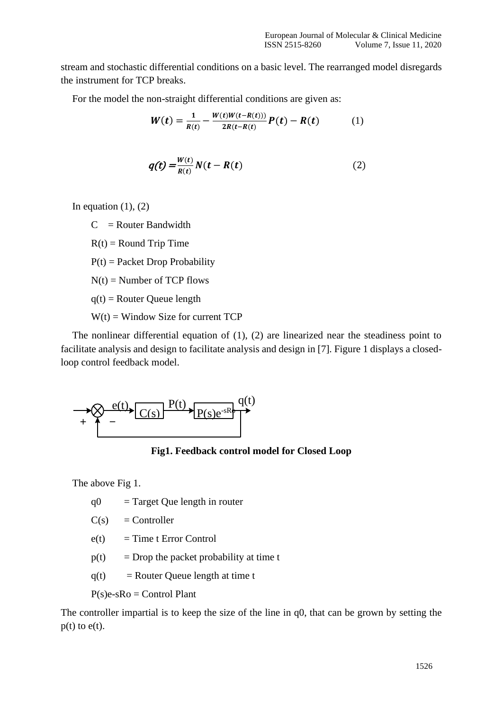stream and stochastic differential conditions on a basic level. The rearranged model disregards the instrument for TCP breaks.

For the model the non-straight differential conditions are given as:

$$
W(t) = \frac{1}{R(t)} - \frac{W(t)W(t - R(t)))}{2R(t - R(t))}P(t) - R(t)
$$
 (1)

$$
q(t) = \frac{W(t)}{R(t)} N(t - R(t))
$$
\n(2)

In equation  $(1)$ ,  $(2)$ 

 $C =$  Router Bandwidth

 $R(t) =$  Round Trip Time

 $P(t) =$  Packet Drop Probability

 $N(t)$  = Number of TCP flows

 $q(t)$  = Router Queue length

 $W(t) =$  Window Size for current TCP

The nonlinear differential equation of (1), (2) are linearized near the steadiness point to facilitate analysis and design to facilitate analysis and design in [7]. Figure 1 displays a closedloop control feedback model.



**Fig1. Feedback control model for Closed Loop**

The above Fig 1.

 $q0 =$ Target Que length in router

 $C(s) =$  Controller

 $e(t) = Time t Error Control$ 

 $p(t)$  = Drop the packet probability at time t

 $q(t)$  = Router Queue length at time t

 $P(s)e-sRo =$ Control Plant

The controller impartial is to keep the size of the line in q0, that can be grown by setting the  $p(t)$  to  $e(t)$ .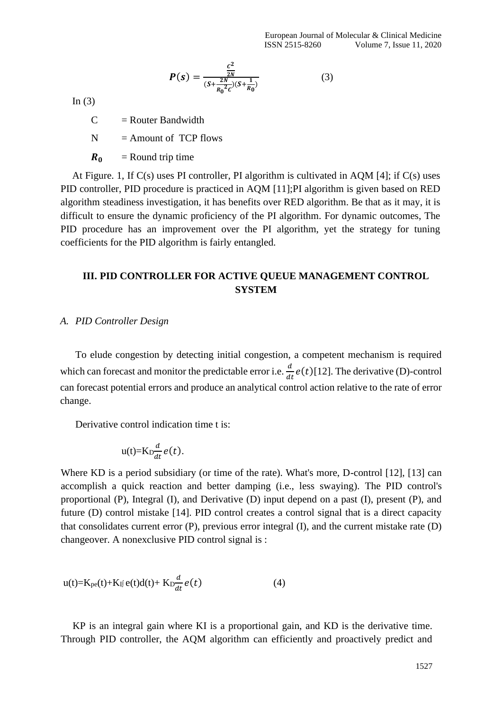$$
P(s) = \frac{\frac{c^2}{2N}}{(s + \frac{2N}{R_0^2 c})(s + \frac{1}{R_0})}
$$
(3)

In  $(3)$ 

 $C =$  Router Bandwidth

 $N =$  Amount of TCP flows

 $R_0$  = Round trip time

At Figure. 1, If  $C(s)$  uses PI controller, PI algorithm is cultivated in AQM [4]; if  $C(s)$  uses PID controller, PID procedure is practiced in AQM [11];PI algorithm is given based on RED algorithm steadiness investigation, it has benefits over RED algorithm. Be that as it may, it is difficult to ensure the dynamic proficiency of the PI algorithm. For dynamic outcomes, The PID procedure has an improvement over the PI algorithm, yet the strategy for tuning coefficients for the PID algorithm is fairly entangled.

# **III. PID CONTROLLER FOR ACTIVE QUEUE MANAGEMENT CONTROL SYSTEM**

#### *A. PID Controller Design*

To elude congestion by detecting initial congestion, a competent mechanism is required which can forecast and monitor the predictable error i.e.  $\frac{d}{dt}e(t)$ [12]. The derivative (D)-control can forecast potential errors and produce an analytical control action relative to the rate of error change.

Derivative control indication time t is:

$$
u(t)=K_D \frac{d}{dt} e(t).
$$

Where KD is a period subsidiary (or time of the rate). What's more, D-control [12], [13] can accomplish a quick reaction and better damping (i.e., less swaying). The PID control's proportional (P), Integral (I), and Derivative (D) input depend on a past (I), present (P), and future (D) control mistake [14]. PID control creates a control signal that is a direct capacity that consolidates current error (P), previous error integral (I), and the current mistake rate (D) changeover. A nonexclusive PID control signal is :

$$
u(t)=K_{pe}(t)+K_{Ij}e(t)d(t)+K_{D}\frac{d}{dt}e(t)
$$
\n(4)

KP is an integral gain where KI is a proportional gain, and KD is the derivative time. Through PID controller, the AQM algorithm can efficiently and proactively predict and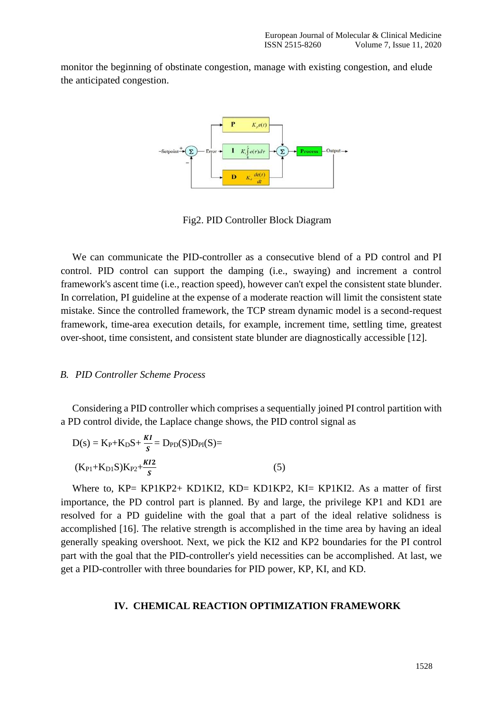monitor the beginning of obstinate congestion, manage with existing congestion, and elude the anticipated congestion.



Fig2. PID Controller Block Diagram

We can communicate the PID-controller as a consecutive blend of a PD control and PI control. PID control can support the damping (i.e., swaying) and increment a control framework's ascent time (i.e., reaction speed), however can't expel the consistent state blunder. In correlation, PI guideline at the expense of a moderate reaction will limit the consistent state mistake. Since the controlled framework, the TCP stream dynamic model is a second-request framework, time-area execution details, for example, increment time, settling time, greatest over-shoot, time consistent, and consistent state blunder are diagnostically accessible [12].

#### *B. PID Controller Scheme Process*

Considering a PID controller which comprises a sequentially joined PI control partition with a PD control divide, the Laplace change shows, the PID control signal as

D(s) = K<sub>P</sub>+K<sub>D</sub>S+
$$
\frac{KI}{s}
$$
 = D<sub>PD</sub>(S)D<sub>PI</sub>(S)=  
(K<sub>P1</sub>+K<sub>D1</sub>S)K<sub>P2</sub>+ $\frac{KI2}{s}$  (5)

Where to, KP= KP1KP2+ KD1KI2, KD= KD1KP2, KI= KP1KI2. As a matter of first importance, the PD control part is planned. By and large, the privilege KP1 and KD1 are resolved for a PD guideline with the goal that a part of the ideal relative solidness is accomplished [16]. The relative strength is accomplished in the time area by having an ideal generally speaking overshoot. Next, we pick the KI2 and KP2 boundaries for the PI control part with the goal that the PID-controller's yield necessities can be accomplished. At last, we get a PID-controller with three boundaries for PID power, KP, KI, and KD.

# **IV. CHEMICAL REACTION OPTIMIZATION FRAMEWORK**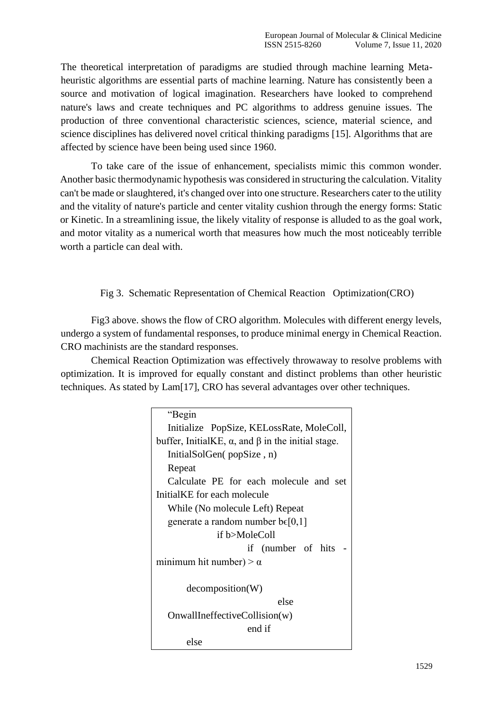The theoretical interpretation of paradigms are studied through machine learning Metaheuristic algorithms are essential parts of machine learning. Nature has consistently been a source and motivation of logical imagination. Researchers have looked to comprehend nature's laws and create techniques and PC algorithms to address genuine issues. The production of three conventional characteristic sciences, science, material science, and science disciplines has delivered novel critical thinking paradigms [15]. Algorithms that are affected by science have been being used since 1960.

To take care of the issue of enhancement, specialists mimic this common wonder. Another basic thermodynamic hypothesis was considered in structuring the calculation. Vitality can't be made or slaughtered, it's changed over into one structure. Researchers cater to the utility and the vitality of nature's particle and center vitality cushion through the energy forms: Static or Kinetic. In a streamlining issue, the likely vitality of response is alluded to as the goal work, and motor vitality as a numerical worth that measures how much the most noticeably terrible worth a particle can deal with.

Fig 3. Schematic Representation of Chemical Reaction Optimization(CRO)

Fig3 above. shows the flow of CRO algorithm. Molecules with different energy levels, undergo a system of fundamental responses, to produce minimal energy in Chemical Reaction. CRO machinists are the standard responses.

Chemical Reaction Optimization was effectively throwaway to resolve problems with optimization. It is improved for equally constant and distinct problems than other heuristic techniques. As stated by Lam[17], CRO has several advantages over other techniques.

> "Begin Initialize PopSize, KELossRate, MoleColl, buffer, InitialKE, α, and β in the initial stage. InitialSolGen( popSize , n) Repeat Calculate PE for each molecule and set InitialKE for each molecule While (No molecule Left) Repeat generate a random number  $b \in [0,1]$ if b>MoleColl if (number of hits minimum hit number) >  $\alpha$ decomposition(W) else OnwallIneffectiveCollision(w) end if else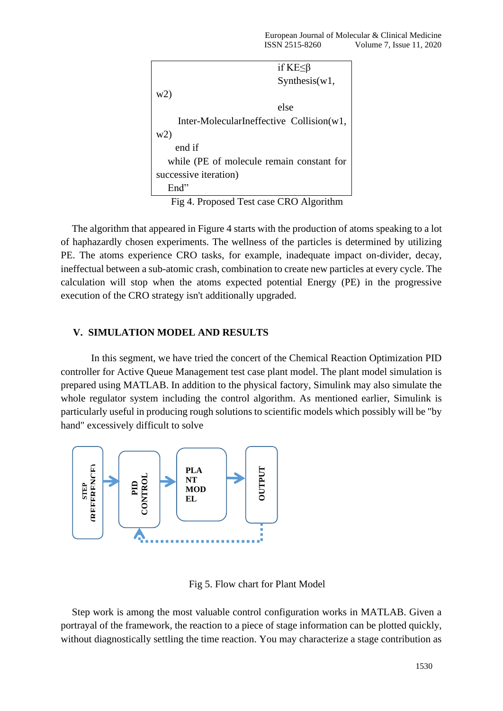|                                           | if KE≤β       |
|-------------------------------------------|---------------|
|                                           | Synthesis(w1, |
| w2)                                       |               |
|                                           | else          |
| Inter-MolecularIneffective Collision(w1,  |               |
| w2)                                       |               |
| end if                                    |               |
| while (PE of molecule remain constant for |               |
| successive iteration)                     |               |
| End"                                      |               |

Fig 4. Proposed Test case CRO Algorithm

The algorithm that appeared in Figure 4 starts with the production of atoms speaking to a lot of haphazardly chosen experiments. The wellness of the particles is determined by utilizing PE. The atoms experience CRO tasks, for example, inadequate impact on-divider, decay, ineffectual between a sub-atomic crash, combination to create new particles at every cycle. The calculation will stop when the atoms expected potential Energy (PE) in the progressive execution of the CRO strategy isn't additionally upgraded.

# **V. SIMULATION MODEL AND RESULTS**

In this segment, we have tried the concert of the Chemical Reaction Optimization PID controller for Active Queue Management test case plant model. The plant model simulation is prepared using MATLAB. In addition to the physical factory, Simulink may also simulate the whole regulator system including the control algorithm. As mentioned earlier, Simulink is particularly useful in producing rough solutions to scientific models which possibly will be "by hand" excessively difficult to solve



Fig 5. Flow chart for Plant Model

Step work is among the most valuable control configuration works in MATLAB. Given a portrayal of the framework, the reaction to a piece of stage information can be plotted quickly,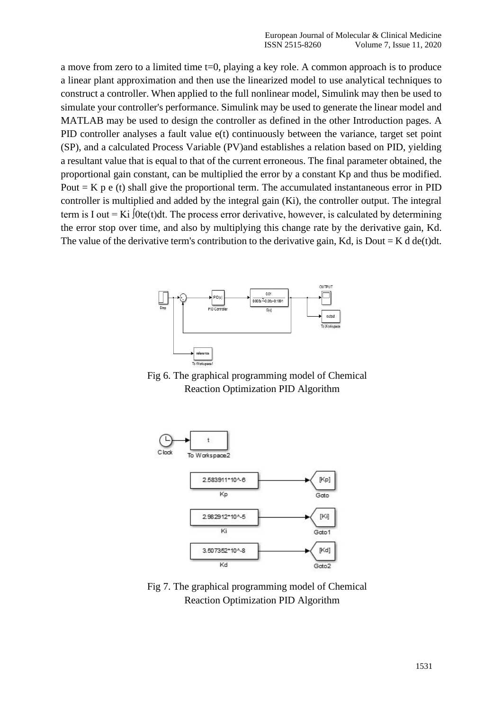a move from zero to a limited time t=0, playing a key role. A common approach is to produce a linear plant approximation and then use the linearized model to use analytical techniques to construct a controller. When applied to the full nonlinear model, Simulink may then be used to simulate your controller's performance. Simulink may be used to generate the linear model and MATLAB may be used to design the controller as defined in the other Introduction pages. A PID controller analyses a fault value e(t) continuously between the variance, target set point (SP), and a calculated Process Variable (PV)and establishes a relation based on PID, yielding a resultant value that is equal to that of the current erroneous. The final parameter obtained, the proportional gain constant, can be multiplied the error by a constant Kp and thus be modified. Pout  $=$  K p e (t) shall give the proportional term. The accumulated instantaneous error in PID controller is multiplied and added by the integral gain (Ki), the controller output. The integral term is I out = Ki  $[0te(t)dt]$ . The process error derivative, however, is calculated by determining the error stop over time, and also by multiplying this change rate by the derivative gain, Kd. The value of the derivative term's contribution to the derivative gain, Kd, is Dout = K d de(t)dt.



Fig 6. The graphical programming model of Chemical Reaction Optimization PID Algorithm



Fig 7. The graphical programming model of Chemical Reaction Optimization PID Algorithm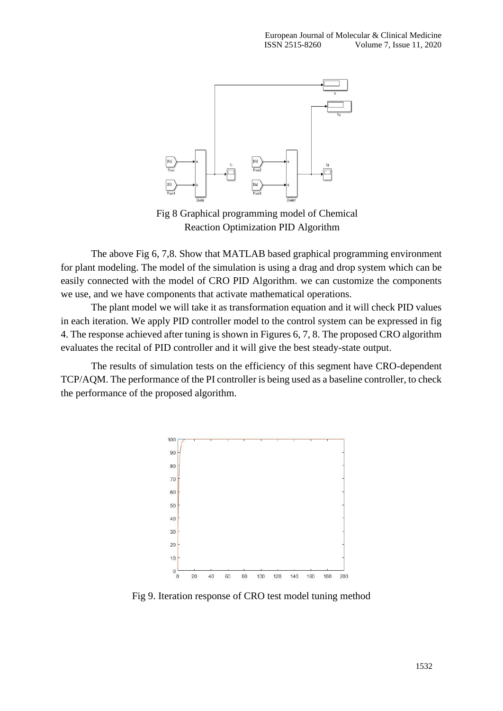

Fig 8 Graphical programming model of Chemical Reaction Optimization PID Algorithm

The above Fig 6, 7,8. Show that MATLAB based graphical programming environment for plant modeling. The model of the simulation is using a drag and drop system which can be easily connected with the model of CRO PID Algorithm. we can customize the components we use, and we have components that activate mathematical operations.

The plant model we will take it as transformation equation and it will check PID values in each iteration. We apply PID controller model to the control system can be expressed in fig 4. The response achieved after tuning is shown in Figures 6, 7, 8. The proposed CRO algorithm evaluates the recital of PID controller and it will give the best steady-state output.

The results of simulation tests on the efficiency of this segment have CRO-dependent TCP/AQM. The performance of the PI controller is being used as a baseline controller, to check the performance of the proposed algorithm.



Fig 9. Iteration response of CRO test model tuning method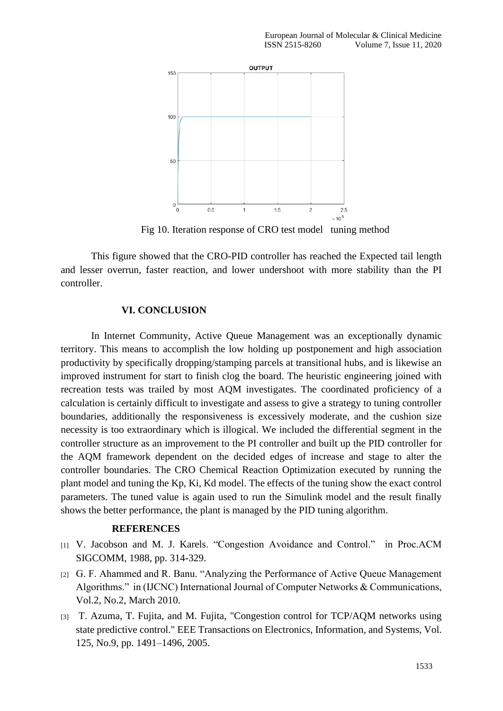

Fig 10. Iteration response of CRO test model tuning method

This figure showed that the CRO-PID controller has reached the Expected tail length and lesser overrun, faster reaction, and lower undershoot with more stability than the PI controller.

# **VI. CONCLUSION**

In Internet Community, Active Queue Management was an exceptionally dynamic territory. This means to accomplish the low holding up postponement and high association productivity by specifically dropping/stamping parcels at transitional hubs, and is likewise an improved instrument for start to finish clog the board. The heuristic engineering joined with recreation tests was trailed by most AQM investigates. The coordinated proficiency of a calculation is certainly difficult to investigate and assess to give a strategy to tuning controller boundaries, additionally the responsiveness is excessively moderate, and the cushion size necessity is too extraordinary which is illogical. We included the differential segment in the controller structure as an improvement to the PI controller and built up the PID controller for the AQM framework dependent on the decided edges of increase and stage to alter the controller boundaries. The CRO Chemical Reaction Optimization executed by running the plant model and tuning the Kp, Ki, Kd model. The effects of the tuning show the exact control parameters. The tuned value is again used to run the Simulink model and the result finally shows the better performance, the plant is managed by the PID tuning algorithm.

# **REFERENCES**

- [1] V. Jacobson and M. J. Karels. "Congestion Avoidance and Control." in Proc.ACM SIGCOMM, 1988, pp. 314-329.
- [2] G. F. Ahammed and R. Banu. "Analyzing the Performance of Active Queue Management Algorithms." in (IJCNC) International Journal of Computer Networks & Communications, Vol.2, No.2, March 2010.
- [3] T. Azuma, T. Fujita, and M. Fujita, "Congestion control for TCP/AQM networks using state predictive control." EEE Transactions on Electronics, Information, and Systems, Vol. 125, No.9, pp. 1491–1496, 2005.